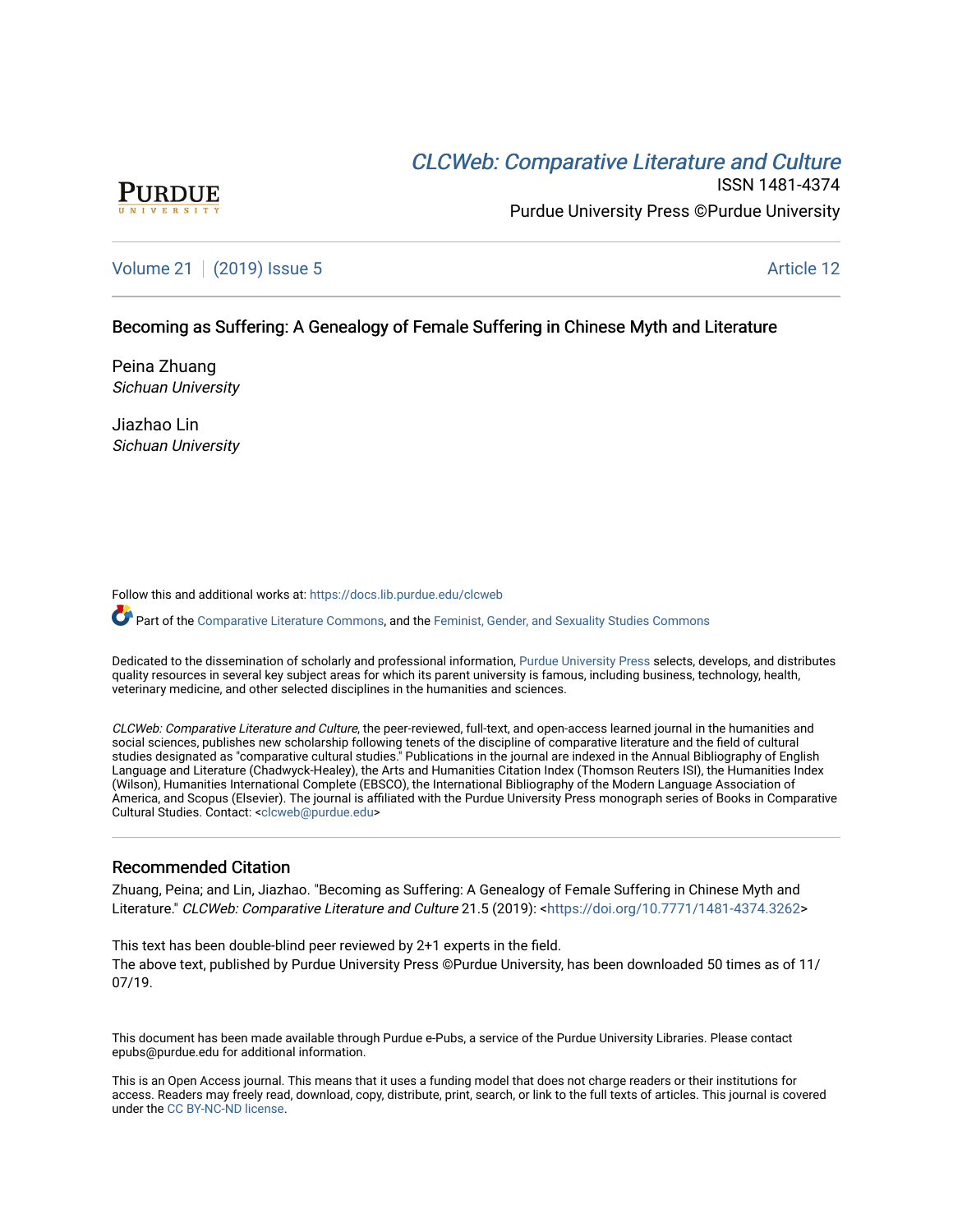# CLCW[eb: Comparative Liter](https://docs.lib.purdue.edu/clcweb)ature and Culture



ISSN 1481-4374 Purdue University Press ©Purdue University

## [Volume 21](https://docs.lib.purdue.edu/clcweb/vol21) | [\(2019\) Issue 5](https://docs.lib.purdue.edu/clcweb/vol21/iss5) Article 12

## Becoming as Suffering: A Genealogy of Female Suffering in Chinese Myth and Literature

Peina Zhuang Sichuan University

Jiazhao Lin Sichuan University

Follow this and additional works at: [https://docs.lib.purdue.edu/clcweb](https://docs.lib.purdue.edu/clcweb?utm_source=docs.lib.purdue.edu%2Fclcweb%2Fvol21%2Fiss5%2F12&utm_medium=PDF&utm_campaign=PDFCoverPages)

Part of the [Comparative Literature Commons,](http://network.bepress.com/hgg/discipline/454?utm_source=docs.lib.purdue.edu%2Fclcweb%2Fvol21%2Fiss5%2F12&utm_medium=PDF&utm_campaign=PDFCoverPages) and the [Feminist, Gender, and Sexuality Studies Commons](http://network.bepress.com/hgg/discipline/559?utm_source=docs.lib.purdue.edu%2Fclcweb%2Fvol21%2Fiss5%2F12&utm_medium=PDF&utm_campaign=PDFCoverPages)

Dedicated to the dissemination of scholarly and professional information, [Purdue University Press](http://www.thepress.purdue.edu/) selects, develops, and distributes quality resources in several key subject areas for which its parent university is famous, including business, technology, health, veterinary medicine, and other selected disciplines in the humanities and sciences.

CLCWeb: Comparative Literature and Culture, the peer-reviewed, full-text, and open-access learned journal in the humanities and social sciences, publishes new scholarship following tenets of the discipline of comparative literature and the field of cultural studies designated as "comparative cultural studies." Publications in the journal are indexed in the Annual Bibliography of English Language and Literature (Chadwyck-Healey), the Arts and Humanities Citation Index (Thomson Reuters ISI), the Humanities Index (Wilson), Humanities International Complete (EBSCO), the International Bibliography of the Modern Language Association of America, and Scopus (Elsevier). The journal is affiliated with the Purdue University Press monograph series of Books in Comparative Cultural Studies. Contact: [<clcweb@purdue.edu](mailto:clcweb@purdue.edu)>

### Recommended Citation

Zhuang, Peina; and Lin, Jiazhao. "Becoming as Suffering: A Genealogy of Female Suffering in Chinese Myth and Literature." CLCWeb: Comparative Literature and Culture 21.5 (2019): <<https://doi.org/10.7771/1481-4374.3262>>

This text has been double-blind peer reviewed by 2+1 experts in the field. The above text, published by Purdue University Press ©Purdue University, has been downloaded 50 times as of 11/ 07/19.

This document has been made available through Purdue e-Pubs, a service of the Purdue University Libraries. Please contact epubs@purdue.edu for additional information.

This is an Open Access journal. This means that it uses a funding model that does not charge readers or their institutions for access. Readers may freely read, download, copy, distribute, print, search, or link to the full texts of articles. This journal is covered under the [CC BY-NC-ND license.](https://creativecommons.org/licenses/by-nc-nd/4.0/)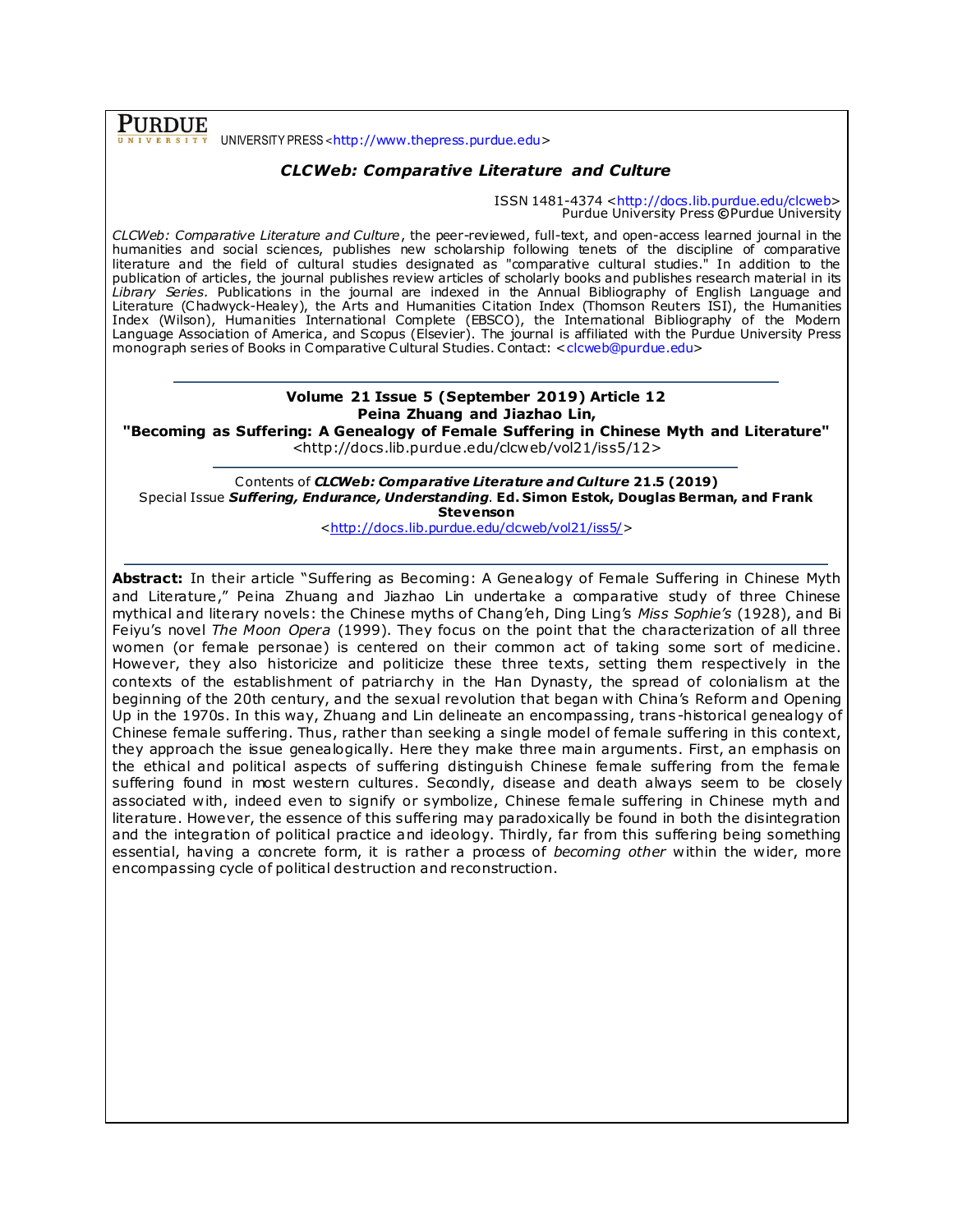PURDUE UNIVERSITY PRESS <[http://www.thepress.purdue.edu](http://www.thepress.purdue.edu/)>

## *CLCWeb: Comparative Literature and Culture*

ISSN 1481-4374 [<http://docs.lib.purdue.edu/clcweb>](http://docs.lib.purdue.edu/clcweb) Purdue University Press **©**Purdue University

*CLCWeb: Comparative Literature and Culture*, the peer-reviewed, full-text, and open-access learned journal in the humanities and social sciences, publishes new scholarship following tenets of the discipline of comparative literature and the field of cultural studies designated as "comparative cultural studies." In addition to the publication of articles, the journal publishes review articles of scholarly books and publishes research material in its *Library Series.* Publications in the journal are indexed in the Annual Bibliography of English Language and Literature (Chadwyck-Healey), the Arts and Humanities Citation Index (Thomson Reuters ISI), the Humanities Index (Wilson), Humanities International Complete (EBSCO), the International Bibliography of the Modern Language Association of America, and Scopus (Elsevier). The journal is affiliated with the Purdue University Press monograph series of Books in Comparative Cultural Studies. Contact: [<clcweb@purdue.edu](mailto:clcweb@purdue.edu)>

## **Volume 21 Issue 5 (September 2019) Article 12 Peina Zhuang and Jiazhao Lin,**

**"Becoming as Suffering: A Genealogy of Female Suffering in Chinese Myth and Literature"**  <http://docs.lib.purdue.edu/clcweb/vol21/iss5/12>

Contents of *CLCWeb: Comparative Literature and Culture* **21.5 (2019)** Special Issue *Suffering, Endurance, Understanding*. **Ed. Simon Estok, Douglas Berman, and Frank Stevenson**

[<http://docs.lib.purdue.edu/clcweb/vol21/iss5/>](http://docs.lib.purdue.edu/clcweb/vol21/iss5/)

**Abstract:** In their article "Suffering as Becoming: A Genealogy of Female Suffering in Chinese Myth and Literature," Peina Zhuang and Jiazhao Lin undertake a comparative study of three Chinese mythical and literary novels: the Chinese myths of Chang'eh, Ding Ling's *Miss Sophie's* (1928), and Bi Feiyu's novel *The Moon Opera* (1999). They focus on the point that the characterization of all three women (or female personae) is centered on their common act of taking some sort of medicine. However, they also historicize and politicize these three texts, setting them respectively in the contexts of the establishment of patriarchy in the Han Dynasty, the spread of colonialism at the beginning of the 20th century, and the sexual revolution that began with China's Reform and Opening Up in the 1970s. In this way, Zhuang and Lin delineate an encompassing, trans -historical genealogy of Chinese female suffering. Thus, rather than seeking a single model of female suffering in this context, they approach the issue genealogically. Here they make three main arguments. First, an emphasis on the ethical and political aspects of suffering distinguish Chinese female suffering from the female suffering found in most western cultures. Secondly, disease and death always seem to be closely associated with, indeed even to signify or symbolize, Chinese female suffering in Chinese myth and literature. However, the essence of this suffering may paradoxically be found in both the disintegration and the integration of political practice and ideology. Thirdly, far from this suffering being something essential, having a concrete form, it is rather a process of *becoming other* within the wider, more encompassing cycle of political destruction and reconstruction.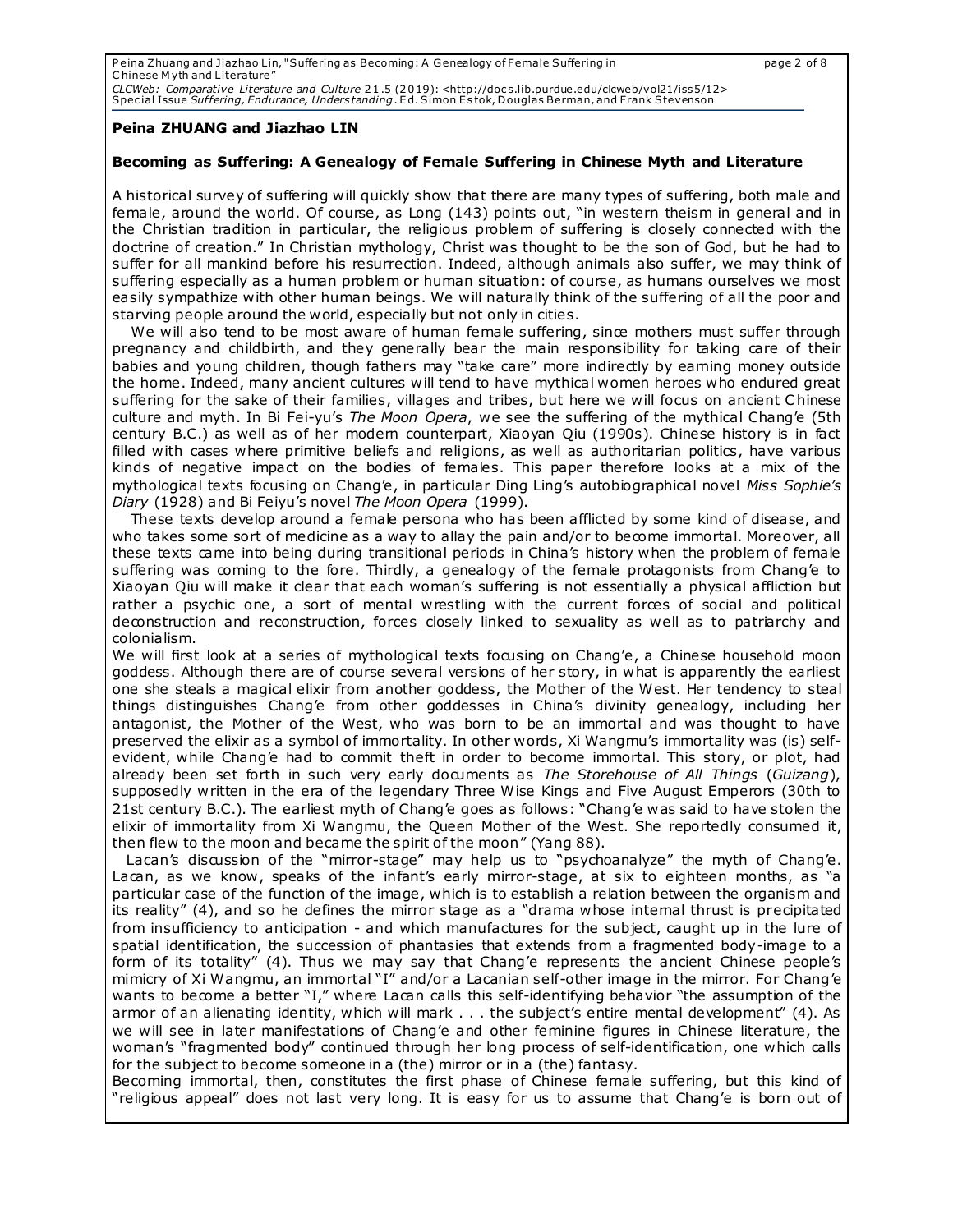Peina Zhuang and Jiazhao Lin, "Suffering as Becoming: A Genealogy of Female Suffering in page 2 of 8 C hinese M yth and Literature" CLCWeb*: Comparative Literature and Culture* 21.5 (2019): <http://docs.lib.purdue.edu/clcweb/vol21/iss5/12><br>Special Issue *Suffering, Endurance, Understanding*. Ed. Simon Estok, Douglas Berman, and Frank Stevenson

#### **Peina ZHUANG and Jiazhao LIN**

#### **Becoming as Suffering: A Genealogy of Female Suffering in Chinese Myth and Literature**

A historical survey of suffering will quickly show that there are many types of suffering, both male and female, around the world. Of course, as Long (143) points out, "in western theism in general and in the Christian tradition in particular, the religious problem of suffering is closely connected with the doctrine of creation." In Christian mythology, Christ was thought to be the son of God, but he had to suffer for all mankind before his resurrection. Indeed, although animals also suffer, we may think of suffering especially as a human problem or human situation: of course, as humans ourselves we most easily sympathize with other human beings. We will naturally think of the suffering of all the poor and starving people around the world, especially but not only in cities.

We will also tend to be most aware of human female suffering, since mothers must suffer through pregnancy and childbirth, and they generally bear the main responsibility for taking care of their babies and young children, though fathers may "take care" more indirectly by earning money outside the home. Indeed, many ancient cultures will tend to have mythical women heroes who endured great suffering for the sake of their families, villages and tribes, but here we will focus on ancient Chinese culture and myth. In Bi Fei-yu's *The Moon Opera*, we see the suffering of the mythical Chang'e (5th century B.C.) as well as of her modern counterpart, Xiaoyan Qiu (1990s). Chinese history is in fact filled with cases where primitive beliefs and religions, as well as authoritarian politics, have various kinds of negative impact on the bodies of females. This paper therefore looks at a mix of the mythological texts focusing on Chang'e, in particular Ding Ling's autobiographical novel *Miss Sophie's Diary* (1928) and Bi Feiyu's novel *The Moon Opera* (1999).

 These texts develop around a female persona who has been afflicted by some kind of disease, and who takes some sort of medicine as a way to allay the pain and/or to become immortal. Moreover, all these texts came into being during transitional periods in China's history when the problem of female suffering was coming to the fore. Thirdly, a genealogy of the female protagonists from Chang'e to Xiaoyan Qiu will make it clear that each woman's suffering is not essentially a physical affliction but rather a psychic one, a sort of mental wrestling with the current forces of social and political deconstruction and reconstruction, forces closely linked to sexuality as well as to patriarchy and colonialism.

We will first look at a series of mythological texts focusing on Chang'e, a Chinese household moon goddess. Although there are of course several versions of her story, in what is apparently the earliest one she steals a magical elixir from another goddess, the Mother of the West. Her tendency to steal things distinguishes Chang'e from other goddesses in China's divinity genealogy, including her antagonist, the Mother of the West, who was born to be an immortal and was thought to have preserved the elixir as a symbol of immortality. In other words, Xi Wangmu's immortality was (is) selfevident, while Chang'e had to commit theft in order to become immortal. This story, or plot, had already been set forth in such very early documents as *The Storehouse of All Things* (*Guizang*), supposedly written in the era of the legendary Three Wise Kings and Five August Emperors (30th to 21st century B.C.). The earliest myth of Chang'e goes as follows: "Chang'e was said to have stolen the elixir of immortality from Xi Wangmu, the Queen Mother of the West. She reportedly consumed it, then flew to the moon and became the spirit of the moon" (Yang 88).

 Lacan's discussion of the "mirror-stage" may help us to "psychoanalyze" the myth of Chang'e. Lacan, as we know, speaks of the infant's early mirror-stage, at six to eighteen months, as "a particular case of the function of the image, which is to establish a relation between the organism and its reality" (4), and so he defines the mirror stage as a "drama whose internal thrust is precipitated from insufficiency to anticipation - and which manufactures for the subject, caught up in the lure of spatial identification, the succession of phantasies that extends from a fragmented body-image to a form of its totality" (4). Thus we may say that Chang'e represents the ancient Chinese people's mimicry of Xi Wangmu, an immortal "I" and/or a Lacanian self-other image in the mirror. For Chang'e wants to become a better "I," where Lacan calls this self-identifying behavior "the assumption of the armor of an alienating identity, which will mark . . . the subject's entire mental development" (4). As we will see in later manifestations of Chang'e and other feminine figures in Chinese literature, the woman's "fragmented body" continued through her long process of self-identification, one which calls for the subject to become someone in a (the) mirror or in a (the) fantasy.

Becoming immortal, then, constitutes the first phase of Chinese female suffering, but this kind of "religious appeal" does not last very long. It is easy for us to assume that Chang'e is born out of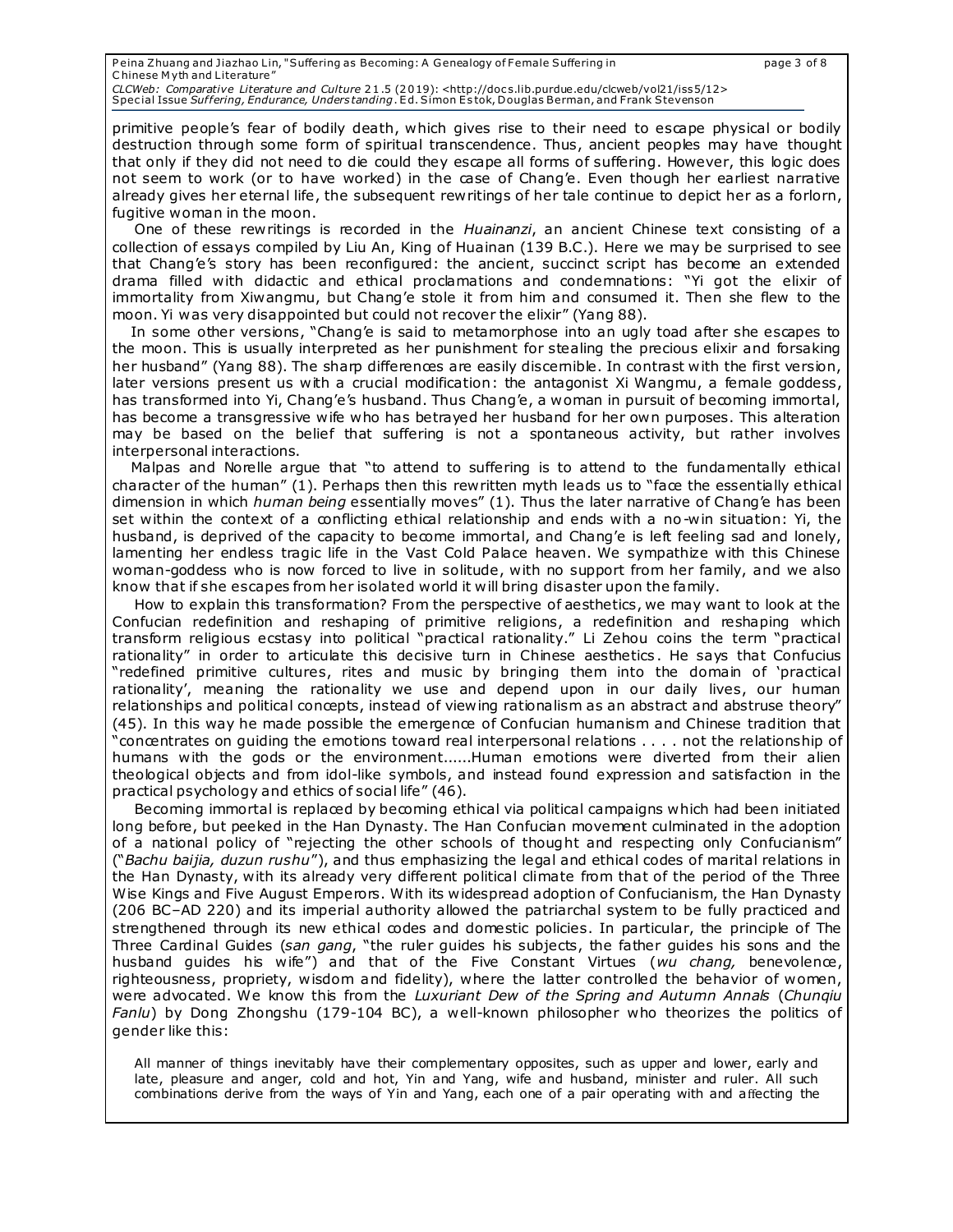primitive people's fear of bodily death, which gives rise to their need to escape physical or bodily destruction through some form of spiritual transcendence. Thus, ancient peoples may have thought that only if they did not need to die could they escape all forms of suffering. However, this logic does not seem to work (or to have worked) in the case of Chang'e. Even though her earliest narrative already gives her eternal life, the subsequent rewritings of her tale continue to depict her as a forlorn, fugitive woman in the moon.

One of these rewritings is recorded in the *Huainanzi*, an ancient Chinese text consisting of a collection of essays compiled by Liu An, King of Huainan (139 B.C.). Here we may be surprised to see that Chang'e's story has been reconfigured: the ancient, succinct script has become an extended drama filled with didactic and ethical proclamations and condemnations: "Yi got the elixir of immortality from Xiwangmu, but Chang'e stole it from him and consumed it. Then she flew to the moon. Yi was very disappointed but could not recover the elixir" (Yang 88).

 In some other versions, "Chang'e is said to metamorphose into an ugly toad after she escapes to the moon. This is usually interpreted as her punishment for stealing the precious elixir and forsaking her husband" (Yang 88). The sharp differences are easily discemible. In contrast with the first version, later versions present us with a crucial modification: the antagonist Xi Wangmu, a female goddess, has transformed into Yi, Chang'e's husband. Thus Chang'e, a woman in pursuit of becoming immortal, has become a transgressive wife who has betrayed her husband for her own purposes. This alteration may be based on the belief that suffering is not a spontaneous activity, but rather involves interpersonal interactions.

 Malpas and Norelle argue that "to attend to suffering is to attend to the fundamentally ethical character of the human" (1). Perhaps then this rewritten myth leads us to "face the essentially ethical dimension in which *human being* essentially moves" (1). Thus the later narrative of Chang'e has been set within the context of a conflicting ethical relationship and ends with a no-win situation: Yi, the husband, is deprived of the capacity to become immortal, and Chang'e is left feeling sad and lonely, lamenting her endless tragic life in the Vast Cold Palace heaven. We sympathize with this Chinese woman-goddess who is now forced to live in solitude, with no support from her family, and we also know that if she escapes from her isolated world it will bring disaster upon the family.

How to explain this transformation? From the perspective of aesthetics, we may want to look at the Confucian redefinition and reshaping of primitive religions, a redefinition and reshaping which transform religious ecstasy into political "practical rationality." Li Zehou coins the term "practical rationality" in order to articulate this decisive turn in Chinese aesthetics . He says that Confucius "redefined primitive cultures, rites and music by bringing them into the domain of 'practical rationality', meaning the rationality we use and depend upon in our daily lives, our human relationships and political concepts, instead of viewing rationalism as an abstract and abstruse theory" (45). In this way he made possible the emergence of Confucian humanism and Chinese tradition that "concentrates on guiding the emotions toward real interpersonal relations . . . . not the relationship of humans with the gods or the environment......Human emotions were diverted from their alien theological objects and from idol-like symbols, and instead found expression and satisfaction in the practical psychology and ethics of social life" (46).

Becoming immortal is replaced by becoming ethical via political campaigns which had been initiated long before, but peeked in the Han Dynasty. The Han Confucian movement culminated in the adoption of a national policy of "rejecting the other schools of thought and respecting only Confucianism" ("*Bachu baijia, duzun rushu*"), and thus emphasizing the legal and ethical codes of marital relations in the Han Dynasty, with its already very different political climate from that of the period of the Three Wise Kings and Five August Emperors. With its widespread adoption of Confucianism, the Han Dynasty (206 BC–AD 220) and its imperial authority allowed the patriarchal system to be fully practiced and strengthened through its new ethical codes and domestic policies. In particular, the principle of The Three Cardinal Guides (*san gang*, "the ruler guides his subjects, the father guides his sons and the husband guides his wife") and that of the Five Constant Virtues (*wu chang*, benevolence, righteousness, propriety, wisdom and fidelity), where the latter controlled the behavior of women, were advocated. We know this from the *Luxuriant Dew of the Spring and Autumn Annals* (*Chunqiu Fanlu*) by Dong Zhongshu (179-104 BC), a well-known philosopher who theorizes the politics of gender like this:

All manner of things inevitably have their complementary opposites, such as upper and lower, early and late, pleasure and anger, cold and hot, Yin and Yang, wife and husband, minister and ruler. All such combinations derive from the ways of Yin and Yang, each one of a pair operating with and affecting the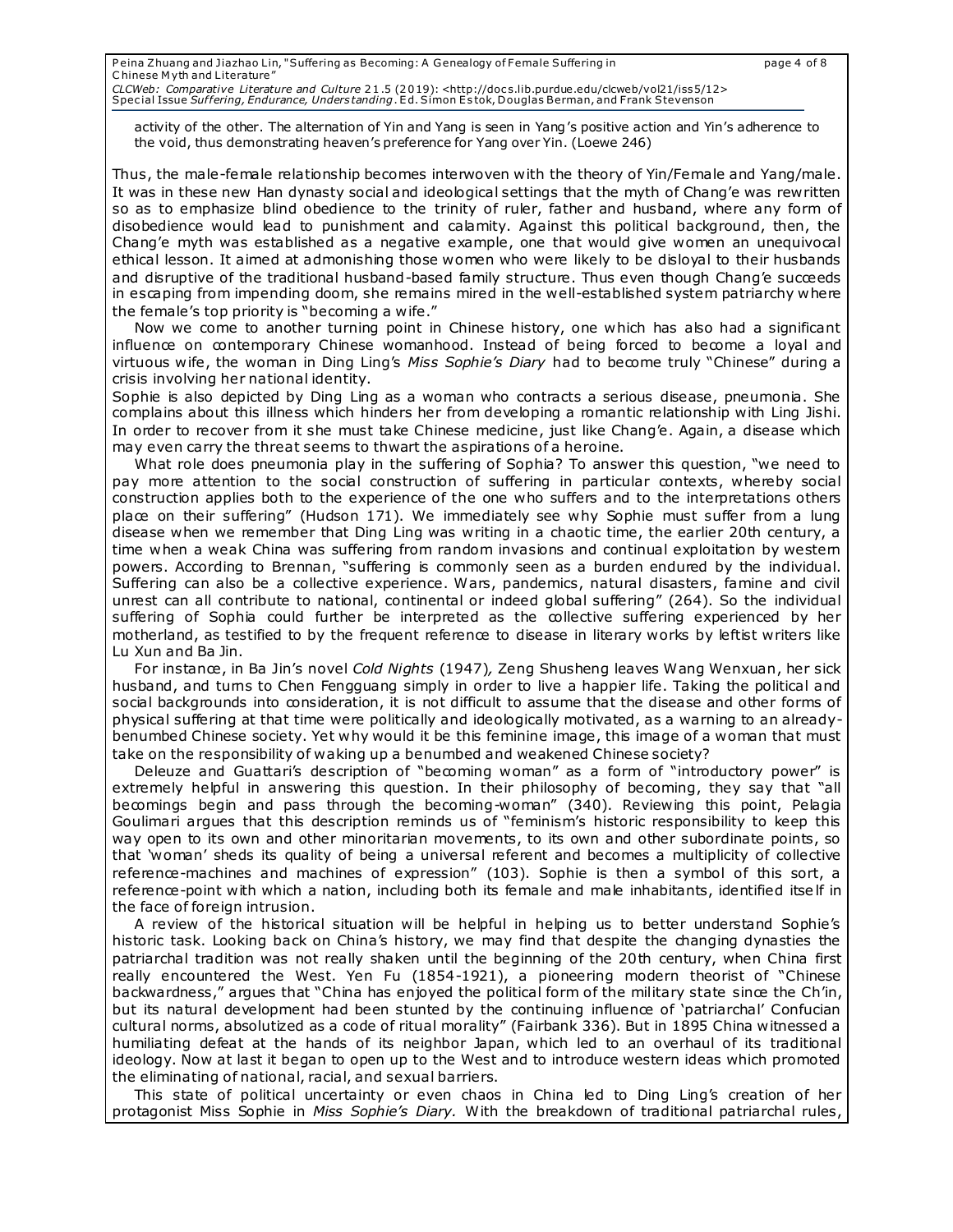activity of the other. The alternation of Yin and Yang is seen in Yang's positive action and Yin's adherence to the void, thus demonstrating heaven's preference for Yang over Yin. (Loewe 246)

Thus, the male-female relationship becomes interwoven with the theory of Yin/Female and Yang/male. It was in these new Han dynasty social and ideological settings that the myth of Chang'e was rewritten so as to emphasize blind obedience to the trinity of ruler, father and husband, where any form of disobedience would lead to punishment and calamity. Against this political background, then, the Chang'e myth was established as a negative example, one that would give women an unequivocal ethical lesson. It aimed at admonishing those women who were likely to be disloyal to their husbands and disruptive of the traditional husband-based family structure. Thus even though Chang'e succeeds in escaping from impending doom, she remains mired in the well-established system patriarchy where the female's top priority is "becoming a wife."

Now we come to another turning point in Chinese history, one which has also had a significant influence on contemporary Chinese womanhood. Instead of being forced to become a loyal and virtuous wife, the woman in Ding Ling's *Miss Sophie's Diary* had to become truly "Chinese" during a crisis involving her national identity.

Sophie is also depicted by Ding Ling as a woman who contracts a serious disease, pneumonia. She complains about this illness which hinders her from developing a romantic relationship with Ling Jishi. In order to recover from it she must take Chinese medicine, just like Chang'e. Again, a disease which may even carry the threat seems to thwart the aspirations of a heroine.

What role does pneumonia play in the suffering of Sophia? To answer this question, "we need to pay more attention to the social construction of suffering in particular contexts, whereby social construction applies both to the experience of the one who suffers and to the interpretations others place on their suffering" (Hudson 171). We immediately see why Sophie must suffer from a lung disease when we remember that Ding Ling was writing in a chaotic time, the earlier 20th century, a time when a weak China was suffering from random invasions and continual exploitation by westem powers. According to Brennan, "suffering is commonly seen as a burden endured by the individual. Suffering can also be a collective experience. Wars, pandemics, natural disasters, famine and civil unrest can all contribute to national, continental or indeed global suffering" (264). So the individual suffering of Sophia could further be interpreted as the collective suffering experienced by her motherland, as testified to by the frequent reference to disease in literary works by leftist writers like Lu Xun and Ba Jin.

For instance, in Ba Jin's novel *Cold Nights* (1947)*,* Zeng Shusheng leaves Wang Wenxuan, her sick husband, and turns to Chen Fengguang simply in order to live a happier life. Taking the political and social backgrounds into consideration, it is not difficult to assume that the disease and other forms of physical suffering at that time were politically and ideologically motivated, as a warning to an alreadybenumbed Chinese society. Yet why would it be this feminine image, this image of a woman that must take on the responsibility of waking up a benumbed and weakened Chinese society?

Deleuze and Guattari's description of "becoming woman" as a form of "introductory power" is extremely helpful in answering this question. In their philosophy of becoming, they say that "all becomings begin and pass through the becoming-woman" (340). Reviewing this point, Pelagia Goulimari argues that this description reminds us of "feminism's historic responsibility to keep this way open to its own and other minoritarian movements, to its own and other subordinate points, so that 'woman' sheds its quality of being a universal referent and becomes a multiplicity of collective reference-machines and machines of expression" (103). Sophie is then a symbol of this sort, a reference-point with which a nation, including both its female and male inhabitants, identified itse lf in the face of foreign intrusion.

A review of the historical situation will be helpful in helping us to better understand Sophie's historic task. Looking back on China's history, we may find that despite the changing dynasties the patriarchal tradition was not really shaken until the beginning of the 20th century, when China first really encountered the West. Yen Fu (1854-1921), a pioneering modern theorist of "Chinese backwardness," argues that "China has enjoyed the political form of the military state since the Ch'in, but its natural development had been stunted by the continuing influence of 'patriarchal' Confucian cultural norms, absolutized as a code of ritual morality" (Fairbank 336). But in 1895 China witnessed a humiliating defeat at the hands of its neighbor Japan, which led to an overhaul of its traditional ideology. Now at last it began to open up to the West and to introduce western ideas which promoted the eliminating of national, racial, and sexual barriers.

This state of political uncertainty or even chaos in China led to Ding Ling's creation of her protagonist Miss Sophie in *Miss Sophie's Diary.* With the breakdown of traditional patriarchal rules,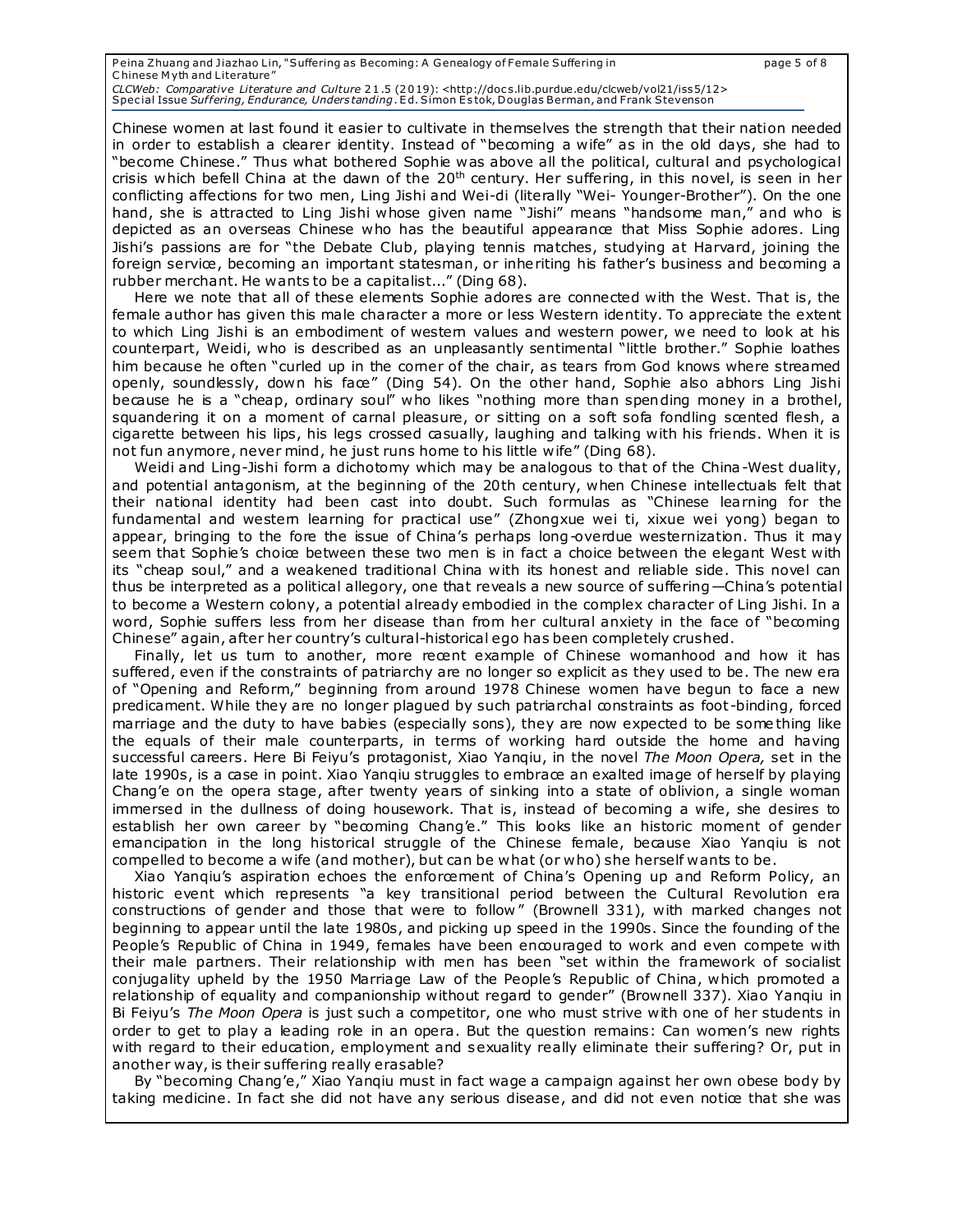Chinese women at last found it easier to cultivate in themselves the strength that their nation needed in order to establish a clearer identity. Instead of "becoming a wife" as in the old days, she had to "become Chinese." Thus what bothered Sophie was above all the political, cultural and psychological crisis which befell China at the dawn of the 20<sup>th</sup> century. Her suffering, in this novel, is seen in her conflicting affections for two men, Ling Jishi and Wei-di (literally "Wei- Younger-Brother"). On the one hand, she is attracted to Ling Jishi whose given name "Jishi" means "handsome man," and who is depicted as an overseas Chinese who has the beautiful appearance that Miss Sophie adores. Ling Jishi's passions are for "the Debate Club, playing tennis matches, studying at Harvard, joining the foreign service, becoming an important statesman, or inheriting his father's business and becoming a rubber merchant. He wants to be a capitalist..." (Ding 68).

Here we note that all of these elements Sophie adores are connected with the West. That is, the female author has given this male character a more or less Western identity. To appreciate the extent to which Ling Jishi is an embodiment of western values and western power, we need to look at his counterpart, Weidi, who is described as an unpleasantly sentimental "little brother." Sophie loathes him because he often "curled up in the comer of the chair, as tears from God knows where streamed openly, soundlessly, down his face" (Ding 54). On the other hand, Sophie also abhors Ling Jishi because he is a "cheap, ordinary soul" who likes "nothing more than spending money in a brothel, squandering it on a moment of carnal pleasure, or sitting on a soft sofa fondling scented flesh, a cigarette between his lips, his legs crossed casually, laughing and talking with his friends. When it is not fun anymore, never mind, he just runs home to his little wife" (Ding 68).

Weidi and Ling-Jishi form a dichotomy which may be analogous to that of the China-West duality, and potential antagonism, at the beginning of the 20th century, when Chinese intellectuals felt that their national identity had been cast into doubt. Such formulas as "Chinese learning for the fundamental and westem learning for practical use" (Zhongxue wei ti, xixue wei yong) began to appear, bringing to the fore the issue of China's perhaps long-overdue westernization. Thus it may seem that Sophie's choice between these two men is in fact a choice between the elegant West with its "cheap soul," and a weakened traditional China with its honest and reliable side. This novel can thus be interpreted as a political allegory, one that reveals a new source of suffering—China's potential to become a Western colony, a potential already embodied in the complex character of Ling Jishi. In a word, Sophie suffers less from her disease than from her cultural anxiety in the face of "becoming Chinese" again, after her country's cultural-historical ego has been completely crushed.

Finally, let us tum to another, more recent example of Chinese womanhood and how it has suffered, even if the constraints of patriarchy are no longer so explicit as they used to be. The new era of "Opening and Reform," beginning from around 1978 Chinese women have begun to face a new predicament. While they are no longer plagued by such patriarchal constraints as foot-binding, forced marriage and the duty to have babies (especially sons), they are now expected to be some thing like the equals of their male counterparts, in terms of working hard outside the home and having successful careers. Here Bi Feiyu's protagonist, Xiao Yanqiu, in the novel *The Moon Opera,* set in the late 1990s, is a case in point. Xiao Yanqiu struggles to embrace an exalted image of herself by playing Chang'e on the opera stage, after twenty years of sinking into a state of oblivion, a single woman immersed in the dullness of doing housework. That is, instead of becoming a wife, she desires to establish her own career by "becoming Chang'e." This looks like an historic moment of gender emancipation in the long historical struggle of the Chinese female, because Xiao Yanqiu is not compelled to become a wife (and mother), but can be what (or who) she herself wants to be.

Xiao Yanqiu's aspiration echoes the enforcement of China's Opening up and Reform Policy, an historic event which represents "a key transitional period between the Cultural Revolution era constructions of gender and those that were to follow " (Brownell 331), with marked changes not beginning to appear until the late 1980s, and picking up speed in the 1990s. Since the founding of the People's Republic of China in 1949, females have been encouraged to work and even compete with their male partners. Their relationship with men has been "set within the framework of socialist conjugality upheld by the 1950 Marriage Law of the People's Republic of China, which promoted a relationship of equality and companionship without regard to gender" (Brownell 337). Xiao Yanqiu in Bi Feiyu's *The Moon Opera* is just such a competitor, one who must strive with one of her students in order to get to play a leading role in an opera. But the question remains: Can women's new rights with regard to their education, employment and sexuality really eliminate their suffering? Or, put in another way, is their suffering really erasable?

By "becoming Chang'e," Xiao Yanqiu must in fact wage a campaign against her own obese body by taking medicine. In fact she did not have any serious disease, and did not even notice that she was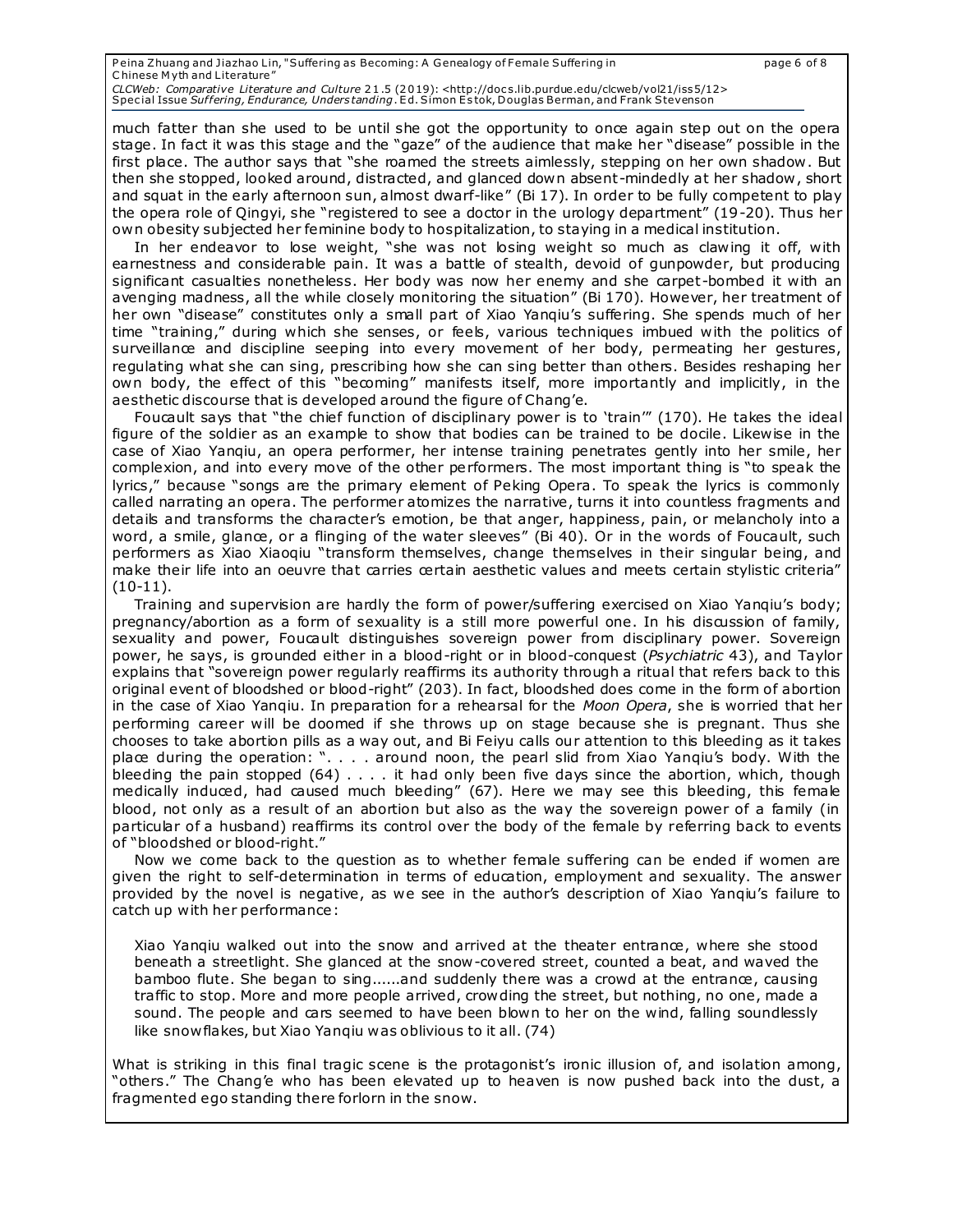much fatter than she used to be until she got the opportunity to once again step out on the opera stage. In fact it was this stage and the "gaze" of the audience that make her "disease" possible in the first place. The author says that "she roamed the streets aimlessly, stepping on her own shadow . But then she stopped, looked around, distracted, and glanced down absent-mindedly at her shadow , short and squat in the early afternoon sun, almost dwarf-like" (Bi 17). In order to be fully competent to play the opera role of Qingyi, she "registered to see a doctor in the urology department" (19-20). Thus her own obesity subjected her feminine body to hospitalization, to staying in a medical institution.

In her endeavor to lose weight, "she was not losing weight so much as clawing it off, with earnestness and considerable pain. It was a battle of stealth, devoid of gunpowder, but producing significant casualties nonetheless. Her body was now her enemy and she carpet-bombed it with an avenging madness, all the while closely monitoring the situation" (Bi 170). However, her treatment of her own "disease" constitutes only a small part of Xiao Yanqiu's suffering. She spends much of her time "training," during which she senses, or feels, various techniques imbued with the politics of surveillance and discipline seeping into every movement of her body, permeating her gestures, regulating what she can sing, prescribing how she can sing better than others. Besides reshaping her own body, the effect of this "becoming" manifests itself, more importantly and implicitly, in the aesthetic discourse that is developed around the figure of Chang'e.

Foucault says that "the chief function of disciplinary power is to 'train'" (170). He takes the ideal figure of the soldier as an example to show that bodies can be trained to be docile. Likewise in the case of Xiao Yanqiu, an opera performer, her intense training penetrates gently into her smile, her complexion, and into every move of the other performers. The most important thing is "to speak the lyrics," because "songs are the primary element of Peking Opera. To speak the lyrics is commonly called narrating an opera. The performer atomizes the narrative, turns it into countless fragments and details and transforms the character's emotion, be that anger, happiness, pain, or melancholy into a word, a smile, glance, or a flinging of the water sleeves" (Bi 40). Or in the words of Foucault, such performers as Xiao Xiaoqiu "transform themselves, change themselves in their singular being, and make their life into an oeuvre that carries certain aesthetic values and meets certain stylistic criteria" (10-11).

Training and supervision are hardly the form of power/suffering exercised on Xiao Yanqiu's body; pregnancy/abortion as a form of sexuality is a still more powerful one. In his discussion of family, sexuality and power, Foucault distinguishes sovereign power from disciplinary power. Sovereign power, he says, is grounded either in a blood-right or in blood-conquest (*Psychiatric* 43), and Taylor explains that "sovereign power regularly reaffirms its authority through a ritual that refers back to this original event of bloodshed or blood-right" (203). In fact, bloodshed does come in the form of abortion in the case of Xiao Yanqiu. In preparation for a rehearsal for the *Moon Opera*, she is worried that her performing career will be doomed if she throws up on stage because she is pregnant. Thus she chooses to take abortion pills as a way out, and Bi Feiyu calls our attention to this bleeding as it takes place during the operation: ". . . . around noon, the pearl slid from Xiao Yanqiu's body. With the bleeding the pain stopped (64) . . . . it had only been five days since the abortion, which, though medically induced, had caused much bleeding" (67). Here we may see this bleeding, this female blood, not only as a result of an abortion but also as the way the sovereign power of a family (in particular of a husband) reaffirms its control over the body of the female by referring back to events of "bloodshed or blood-right."

Now we come back to the question as to whether female suffering can be ended if women are given the right to self-determination in terms of education, employment and sexuality. The answer provided by the novel is negative, as we see in the author's description of Xiao Yanqiu's failure to catch up with her performance:

Xiao Yanqiu walked out into the snow and arrived at the theater entrance, where she stood beneath a streetlight. She glanced at the snow-covered street, counted a beat, and waved the bamboo flute. She began to sing......and suddenly there was a crowd at the entrance, causing traffic to stop. More and more people arrived, crowding the street, but nothing, no one, made a sound. The people and cars seemed to have been blown to her on the wind, falling soundlessly like snow flakes, but Xiao Yangiu was oblivious to it all. (74)

What is striking in this final tragic scene is the protagonist's ironic illusion of, and isolation among, "others." The Chang'e who has been elevated up to heaven is now pushed back into the dust, a fragmented ego standing there forlorn in the snow.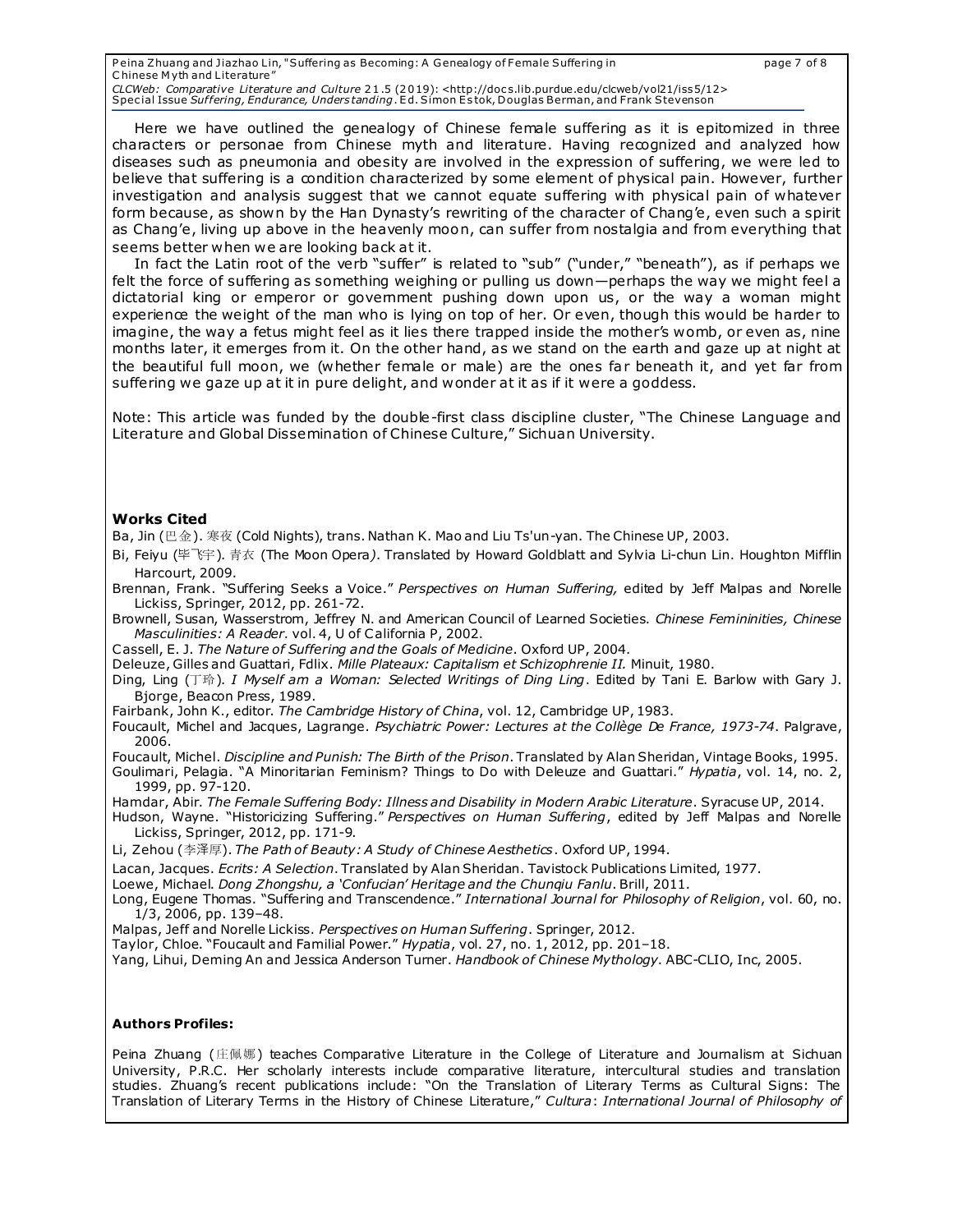Peina Zhuang and Jiazhao Lin, "Suffering as Becoming: A Genealogy of Female Suffering in page 7 of 8 C hinese M yth and Literature" CLCWeb*: Comparative Literature and Culture* 21.5 (2019): <http://docs.lib.purdue.edu/clcweb/vol21/iss5/12><br>Special Issue *Suffering, Endurance, Understanding*. Ed. Simon Estok, Douglas Berman, and Frank Stevenson

Here we have outlined the genealogy of Chinese female suffering as it is epitomized in three characters or personae from Chinese myth and literature. Having recognized and analyzed how diseases such as pneumonia and obesity are involved in the expression of suffering, we were led to believe that suffering is a condition characterized by some element of physical pain. However, further investigation and analysis suggest that we cannot equate suffering with physical pain of whatever form because, as shown by the Han Dynasty's rewriting of the character of Chang'e, even such a spirit as Chang'e, living up above in the heavenly moon, can suffer from nostalgia and from everything that seems better when we are looking back at it.

In fact the Latin root of the verb "suffer" is related to "sub" ("under," "beneath"), as if perhaps we felt the force of suffering as something weighing or pulling us down—perhaps the way we might feel a dictatorial king or emperor or government pushing down upon us, or the way a woman might experience the weight of the man who is lying on top of her. Or even, though this would be harder to imagine, the way a fetus might feel as it lies there trapped inside the mother's womb, or even as, nine months later, it emerges from it. On the other hand, as we stand on the earth and gaze up at night at the beautiful full moon, we (whether female or male) are the ones far beneath it, and yet far from suffering we gaze up at it in pure delight, and wonder at it as if it were a goddess.

Note: This article was funded by the double-first class discipline cluster, "The Chinese Language and Literature and Global Dissemination of Chinese Culture," Sichuan University.

#### **Works Cited**

Ba, Jin (巴金). 寒夜 (Cold Nights), trans. Nathan K. Mao and Liu Ts'un-yan. The Chinese UP, 2003.

Bi, Feiyu (毕飞宇). 青衣 (The Moon Opera*)*. Translated by Howard Goldblatt and Sylvia Li-chun Lin. Houghton Mifflin Harcourt, 2009.

Brennan, Frank. "Suffering Seeks a Voice." *Perspectives on Human Suffering,* edited by Jeff Malpas and Norelle Lickiss, Springer, 2012, pp. 261-72.

Brownell, Susan, Wasserstrom, Jeffrey N. and American Council of Learned Societies. *Chinese Femininities, Chinese Masculinities: A Reader*. vol. 4, U of California P, 2002.

Cassell, E. J. *The Nature of Suffering and the Goals of Medicine*. Oxford UP, 2004.

Deleuze, Gilles and Guattari, Fdlix. *Mille Plateaux: Capitalism et Schizophrenie II.* Minuit, 1980.

Ding, Ling (丁玲). *I Myself am a Woman: Selected Writings of Ding Ling*. Edited by Tani E. Barlow with Gary J. Bjorge, Beacon Press, 1989.

Fairbank, John K., editor. *The Cambridge History of China*, vol. 12, Cambridge UP, 1983.

Foucault, Michel and Jacques, Lagrange. *Psychiatric Power: Lectures at the Collège De France, 1973-74*. Palgrave, 2006.

Foucault, Michel. *Discipline and Punish: The Birth of the Prison*. Translated by Alan Sheridan, Vintage Books, 1995.

Goulimari, Pelagia. "A Minoritarian Feminism? Things to Do with Deleuze and Guattari." *Hypatia*, vol. 14, no. 2, 1999, pp. 97-120.

Hamdar, Abir. *The Female Suffering Body: Illness and Disability in Modern Arabic Literature*. Syracuse UP, 2014.

Hudson, Wayne. "Historicizing Suffering." *Perspectives on Human Suffering*, edited by Jeff Malpas and Norelle Lickiss, Springer, 2012, pp. 171-9.

Li, Zehou (李泽厚). *The Path of Beauty: A Study of Chinese Aesthetics*. Oxford UP, 1994.

Lacan, Jacques. *Ecrits: A Selection*. Translated by Alan Sheridan. Tavistock Publications Limited, 1977.

Loewe, Michael. *Dong Zhongshu, a 'Confucian' Heritage and the Chunqiu Fanlu*. Brill, 2011.

Long, Eugene Thomas. "Suffering and Transcendence." *International Journal for Philosophy of Religion*, vol. 60, no. 1/3, 2006, pp. 139–48.

Malpas, Jeff and Norelle Lickiss. *Perspectives on Human Suffering*. Springer, 2012.

Taylor, Chloe. "Foucault and Familial Power." *Hypatia*, vol. 27, no. 1, 2012, pp. 201–18.

Yang, Lihui, Deming An and Jessica Anderson Turner. *Handbook of Chinese Mythology*. ABC-CLIO, Inc, 2005.

#### **Authors Profiles:**

Peina Zhuang (庄佩娜) teaches Comparative Literature in the College of Literature and Journalism at Sichuan University, P.R.C. Her scholarly interests include comparative literature, intercultural studies and translation studies. Zhuang's recent publications include: "On the Translation of Literary Terms as Cultural Signs: The Translation of Literary Terms in the History of Chinese Literature," *Cultura*: *International Journal of Philosophy of*